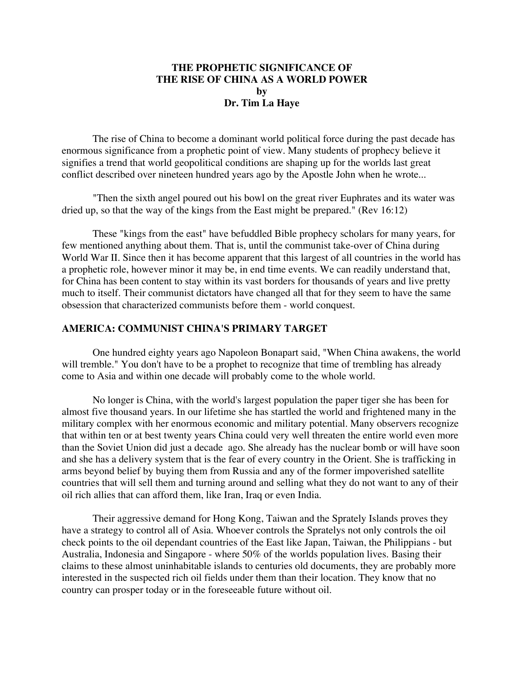## **THE PROPHETIC SIGNIFICANCE OF THE RISE OF CHINA AS A WORLD POWER by Dr. Tim La Haye**

The rise of China to become a dominant world political force during the past decade has enormous significance from a prophetic point of view. Many students of prophecy believe it signifies a trend that world geopolitical conditions are shaping up for the worlds last great conflict described over nineteen hundred years ago by the Apostle John when he wrote...

"Then the sixth angel poured out his bowl on the great river Euphrates and its water was dried up, so that the way of the kings from the East might be prepared." (Rev 16:12)

These "kings from the east" have befuddled Bible prophecy scholars for many years, for few mentioned anything about them. That is, until the communist take-over of China during World War II. Since then it has become apparent that this largest of all countries in the world has a prophetic role, however minor it may be, in end time events. We can readily understand that, for China has been content to stay within its vast borders for thousands of years and live pretty much to itself. Their communist dictators have changed all that for they seem to have the same obsession that characterized communists before them - world conquest.

### **AMERICA: COMMUNIST CHINA'S PRIMARY TARGET**

One hundred eighty years ago Napoleon Bonapart said, "When China awakens, the world will tremble." You don't have to be a prophet to recognize that time of trembling has already come to Asia and within one decade will probably come to the whole world.

No longer is China, with the world's largest population the paper tiger she has been for almost five thousand years. In our lifetime she has startled the world and frightened many in the military complex with her enormous economic and military potential. Many observers recognize that within ten or at best twenty years China could very well threaten the entire world even more than the Soviet Union did just a decade ago. She already has the nuclear bomb or will have soon and she has a delivery system that is the fear of every country in the Orient. She is trafficking in arms beyond belief by buying them from Russia and any of the former impoverished satellite countries that will sell them and turning around and selling what they do not want to any of their oil rich allies that can afford them, like Iran, Iraq or even India.

Their aggressive demand for Hong Kong, Taiwan and the Sprately Islands proves they have a strategy to control all of Asia. Whoever controls the Spratelys not only controls the oil check points to the oil dependant countries of the East like Japan, Taiwan, the Philippians - but Australia, Indonesia and Singapore - where 50% of the worlds population lives. Basing their claims to these almost uninhabitable islands to centuries old documents, they are probably more interested in the suspected rich oil fields under them than their location. They know that no country can prosper today or in the foreseeable future without oil.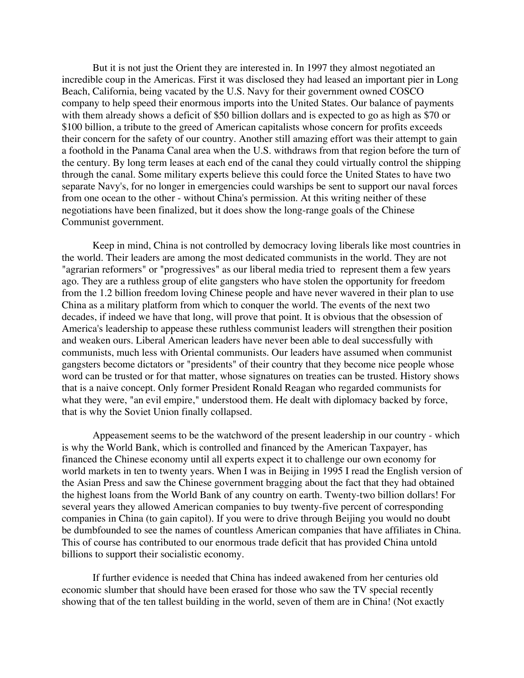But it is not just the Orient they are interested in. In 1997 they almost negotiated an incredible coup in the Americas. First it was disclosed they had leased an important pier in Long Beach, California, being vacated by the U.S. Navy for their government owned COSCO company to help speed their enormous imports into the United States. Our balance of payments with them already shows a deficit of \$50 billion dollars and is expected to go as high as \$70 or \$100 billion, a tribute to the greed of American capitalists whose concern for profits exceeds their concern for the safety of our country. Another still amazing effort was their attempt to gain a foothold in the Panama Canal area when the U.S. withdraws from that region before the turn of the century. By long term leases at each end of the canal they could virtually control the shipping through the canal. Some military experts believe this could force the United States to have two separate Navy's, for no longer in emergencies could warships be sent to support our naval forces from one ocean to the other - without China's permission. At this writing neither of these negotiations have been finalized, but it does show the long-range goals of the Chinese Communist government.

Keep in mind, China is not controlled by democracy loving liberals like most countries in the world. Their leaders are among the most dedicated communists in the world. They are not "agrarian reformers" or "progressives" as our liberal media tried to represent them a few years ago. They are a ruthless group of elite gangsters who have stolen the opportunity for freedom from the 1.2 billion freedom loving Chinese people and have never wavered in their plan to use China as a military platform from which to conquer the world. The events of the next two decades, if indeed we have that long, will prove that point. It is obvious that the obsession of America's leadership to appease these ruthless communist leaders will strengthen their position and weaken ours. Liberal American leaders have never been able to deal successfully with communists, much less with Oriental communists. Our leaders have assumed when communist gangsters become dictators or "presidents" of their country that they become nice people whose word can be trusted or for that matter, whose signatures on treaties can be trusted. History shows that is a naive concept. Only former President Ronald Reagan who regarded communists for what they were, "an evil empire," understood them. He dealt with diplomacy backed by force, that is why the Soviet Union finally collapsed.

Appeasement seems to be the watchword of the present leadership in our country - which is why the World Bank, which is controlled and financed by the American Taxpayer, has financed the Chinese economy until all experts expect it to challenge our own economy for world markets in ten to twenty years. When I was in Beijing in 1995 I read the English version of the Asian Press and saw the Chinese government bragging about the fact that they had obtained the highest loans from the World Bank of any country on earth. Twenty-two billion dollars! For several years they allowed American companies to buy twenty-five percent of corresponding companies in China (to gain capitol). If you were to drive through Beijing you would no doubt be dumbfounded to see the names of countless American companies that have affiliates in China. This of course has contributed to our enormous trade deficit that has provided China untold billions to support their socialistic economy.

If further evidence is needed that China has indeed awakened from her centuries old economic slumber that should have been erased for those who saw the TV special recently showing that of the ten tallest building in the world, seven of them are in China! (Not exactly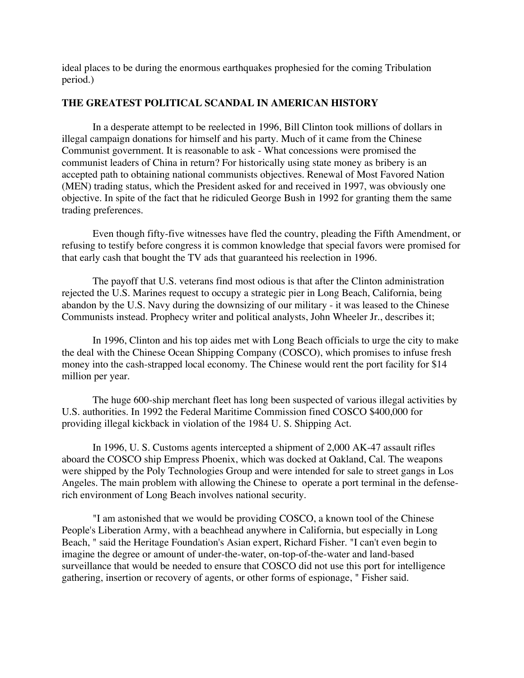ideal places to be during the enormous earthquakes prophesied for the coming Tribulation period.)

### **THE GREATEST POLITICAL SCANDAL IN AMERICAN HISTORY**

In a desperate attempt to be reelected in 1996, Bill Clinton took millions of dollars in illegal campaign donations for himself and his party. Much of it came from the Chinese Communist government. It is reasonable to ask - What concessions were promised the communist leaders of China in return? For historically using state money as bribery is an accepted path to obtaining national communists objectives. Renewal of Most Favored Nation (MEN) trading status, which the President asked for and received in 1997, was obviously one objective. In spite of the fact that he ridiculed George Bush in 1992 for granting them the same trading preferences.

Even though fifty-five witnesses have fled the country, pleading the Fifth Amendment, or refusing to testify before congress it is common knowledge that special favors were promised for that early cash that bought the TV ads that guaranteed his reelection in 1996.

The payoff that U.S. veterans find most odious is that after the Clinton administration rejected the U.S. Marines request to occupy a strategic pier in Long Beach, California, being abandon by the U.S. Navy during the downsizing of our military - it was leased to the Chinese Communists instead. Prophecy writer and political analysts, John Wheeler Jr., describes it;

In 1996, Clinton and his top aides met with Long Beach officials to urge the city to make the deal with the Chinese Ocean Shipping Company (COSCO), which promises to infuse fresh money into the cash-strapped local economy. The Chinese would rent the port facility for \$14 million per year.

The huge 600-ship merchant fleet has long been suspected of various illegal activities by U.S. authorities. In 1992 the Federal Maritime Commission fined COSCO \$400,000 for providing illegal kickback in violation of the 1984 U. S. Shipping Act.

In 1996, U. S. Customs agents intercepted a shipment of 2,000 AK-47 assault rifles aboard the COSCO ship Empress Phoenix, which was docked at Oakland, Cal. The weapons were shipped by the Poly Technologies Group and were intended for sale to street gangs in Los Angeles. The main problem with allowing the Chinese to operate a port terminal in the defenserich environment of Long Beach involves national security.

"I am astonished that we would be providing COSCO, a known tool of the Chinese People's Liberation Army, with a beachhead anywhere in California, but especially in Long Beach, " said the Heritage Foundation's Asian expert, Richard Fisher. "I can't even begin to imagine the degree or amount of under-the-water, on-top-of-the-water and land-based surveillance that would be needed to ensure that COSCO did not use this port for intelligence gathering, insertion or recovery of agents, or other forms of espionage, " Fisher said.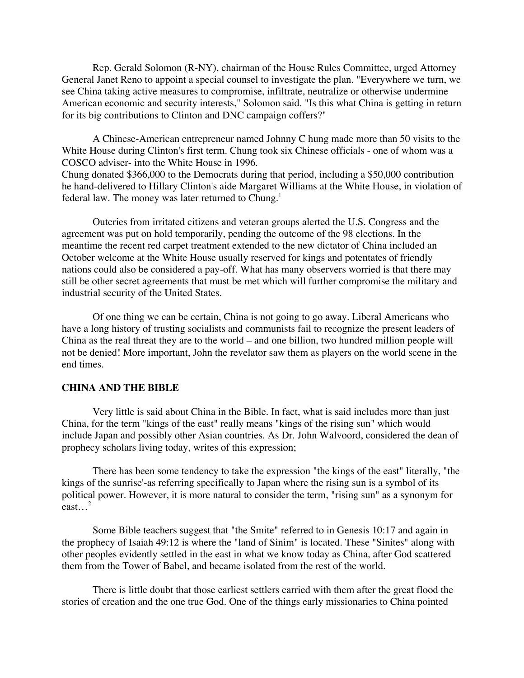Rep. Gerald Solomon (R-NY), chairman of the House Rules Committee, urged Attorney General Janet Reno to appoint a special counsel to investigate the plan. "Everywhere we turn, we see China taking active measures to compromise, infiltrate, neutralize or otherwise undermine American economic and security interests," Solomon said. "Is this what China is getting in return for its big contributions to Clinton and DNC campaign coffers?"

A Chinese-American entrepreneur named Johnny C hung made more than 50 visits to the White House during Clinton's first term. Chung took six Chinese officials - one of whom was a COSCO adviser- into the White House in 1996.

Chung donated \$366,000 to the Democrats during that period, including a \$50,000 contribution he hand-delivered to Hillary Clinton's aide Margaret Williams at the White House, in violation of federal law. The money was later returned to Chung.<sup>1</sup>

Outcries from irritated citizens and veteran groups alerted the U.S. Congress and the agreement was put on hold temporarily, pending the outcome of the 98 elections. In the meantime the recent red carpet treatment extended to the new dictator of China included an October welcome at the White House usually reserved for kings and potentates of friendly nations could also be considered a pay-off. What has many observers worried is that there may still be other secret agreements that must be met which will further compromise the military and industrial security of the United States.

Of one thing we can be certain, China is not going to go away. Liberal Americans who have a long history of trusting socialists and communists fail to recognize the present leaders of China as the real threat they are to the world – and one billion, two hundred million people will not be denied! More important, John the revelator saw them as players on the world scene in the end times.

### **CHINA AND THE BIBLE**

Very little is said about China in the Bible. In fact, what is said includes more than just China, for the term "kings of the east" really means "kings of the rising sun" which would include Japan and possibly other Asian countries. As Dr. John Walvoord, considered the dean of prophecy scholars living today, writes of this expression;

There has been some tendency to take the expression "the kings of the east" literally, "the kings of the sunrise'-as referring specifically to Japan where the rising sun is a symbol of its political power. However, it is more natural to consider the term, "rising sun" as a synonym for east... $<sup>2</sup>$ </sup>

Some Bible teachers suggest that "the Smite" referred to in Genesis 10:17 and again in the prophecy of Isaiah 49:12 is where the "land of Sinim" is located. These "Sinites" along with other peoples evidently settled in the east in what we know today as China, after God scattered them from the Tower of Babel, and became isolated from the rest of the world.

There is little doubt that those earliest settlers carried with them after the great flood the stories of creation and the one true God. One of the things early missionaries to China pointed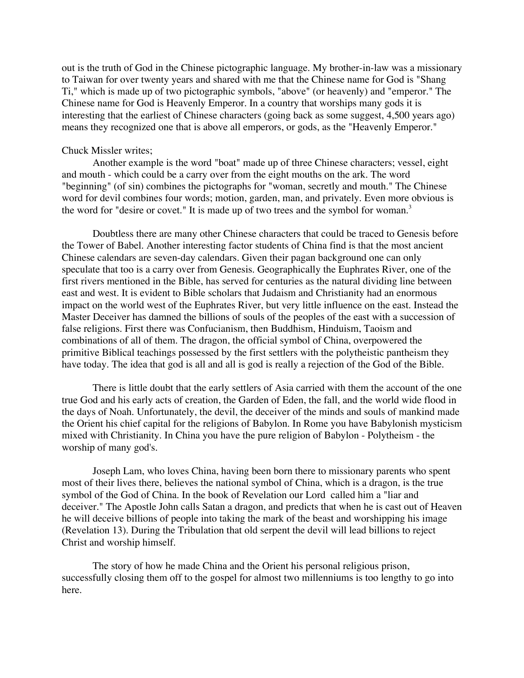out is the truth of God in the Chinese pictographic language. My brother-in-law was a missionary to Taiwan for over twenty years and shared with me that the Chinese name for God is "Shang Ti," which is made up of two pictographic symbols, "above" (or heavenly) and "emperor." The Chinese name for God is Heavenly Emperor. In a country that worships many gods it is interesting that the earliest of Chinese characters (going back as some suggest, 4,500 years ago) means they recognized one that is above all emperors, or gods, as the "Heavenly Emperor."

### Chuck Missler writes;

Another example is the word "boat" made up of three Chinese characters; vessel, eight and mouth - which could be a carry over from the eight mouths on the ark. The word "beginning" (of sin) combines the pictographs for "woman, secretly and mouth." The Chinese word for devil combines four words; motion, garden, man, and privately. Even more obvious is the word for "desire or covet." It is made up of two trees and the symbol for woman.<sup>3</sup>

Doubtless there are many other Chinese characters that could be traced to Genesis before the Tower of Babel. Another interesting factor students of China find is that the most ancient Chinese calendars are seven-day calendars. Given their pagan background one can only speculate that too is a carry over from Genesis. Geographically the Euphrates River, one of the first rivers mentioned in the Bible, has served for centuries as the natural dividing line between east and west. It is evident to Bible scholars that Judaism and Christianity had an enormous impact on the world west of the Euphrates River, but very little influence on the east. Instead the Master Deceiver has damned the billions of souls of the peoples of the east with a succession of false religions. First there was Confucianism, then Buddhism, Hinduism, Taoism and combinations of all of them. The dragon, the official symbol of China, overpowered the primitive Biblical teachings possessed by the first settlers with the polytheistic pantheism they have today. The idea that god is all and all is god is really a rejection of the God of the Bible.

There is little doubt that the early settlers of Asia carried with them the account of the one true God and his early acts of creation, the Garden of Eden, the fall, and the world wide flood in the days of Noah. Unfortunately, the devil, the deceiver of the minds and souls of mankind made the Orient his chief capital for the religions of Babylon. In Rome you have Babylonish mysticism mixed with Christianity. In China you have the pure religion of Babylon - Polytheism - the worship of many god's.

Joseph Lam, who loves China, having been born there to missionary parents who spent most of their lives there, believes the national symbol of China, which is a dragon, is the true symbol of the God of China. In the book of Revelation our Lord called him a "liar and deceiver." The Apostle John calls Satan a dragon, and predicts that when he is cast out of Heaven he will deceive billions of people into taking the mark of the beast and worshipping his image (Revelation 13). During the Tribulation that old serpent the devil will lead billions to reject Christ and worship himself.

The story of how he made China and the Orient his personal religious prison, successfully closing them off to the gospel for almost two millenniums is too lengthy to go into here.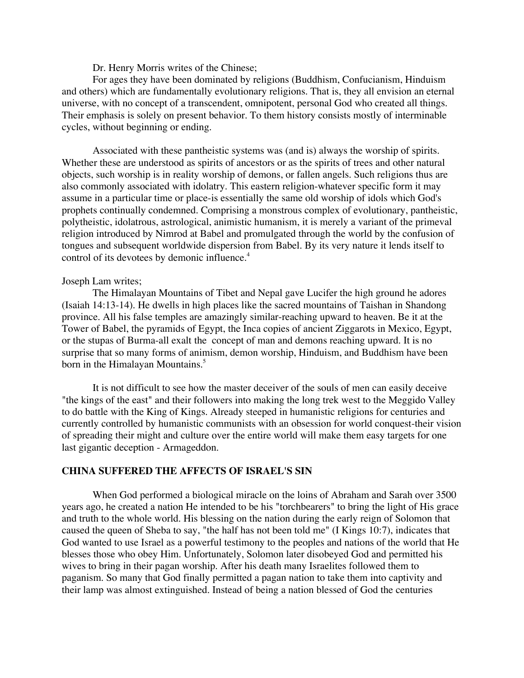Dr. Henry Morris writes of the Chinese;

For ages they have been dominated by religions (Buddhism, Confucianism, Hinduism and others) which are fundamentally evolutionary religions. That is, they all envision an eternal universe, with no concept of a transcendent, omnipotent, personal God who created all things. Their emphasis is solely on present behavior. To them history consists mostly of interminable cycles, without beginning or ending.

Associated with these pantheistic systems was (and is) always the worship of spirits. Whether these are understood as spirits of ancestors or as the spirits of trees and other natural objects, such worship is in reality worship of demons, or fallen angels. Such religions thus are also commonly associated with idolatry. This eastern religion-whatever specific form it may assume in a particular time or place-is essentially the same old worship of idols which God's prophets continually condemned. Comprising a monstrous complex of evolutionary, pantheistic, polytheistic, idolatrous, astrological, animistic humanism, it is merely a variant of the primeval religion introduced by Nimrod at Babel and promulgated through the world by the confusion of tongues and subsequent worldwide dispersion from Babel. By its very nature it lends itself to control of its devotees by demonic influence.<sup>4</sup>

#### Joseph Lam writes;

The Himalayan Mountains of Tibet and Nepal gave Lucifer the high ground he adores (Isaiah 14:13-14). He dwells in high places like the sacred mountains of Taishan in Shandong province. All his false temples are amazingly similar-reaching upward to heaven. Be it at the Tower of Babel, the pyramids of Egypt, the Inca copies of ancient Ziggarots in Mexico, Egypt, or the stupas of Burma-all exalt the concept of man and demons reaching upward. It is no surprise that so many forms of animism, demon worship, Hinduism, and Buddhism have been born in the Himalayan Mountains.<sup>5</sup>

It is not difficult to see how the master deceiver of the souls of men can easily deceive "the kings of the east" and their followers into making the long trek west to the Meggido Valley to do battle with the King of Kings. Already steeped in humanistic religions for centuries and currently controlled by humanistic communists with an obsession for world conquest-their vision of spreading their might and culture over the entire world will make them easy targets for one last gigantic deception - Armageddon.

### **CHINA SUFFERED THE AFFECTS OF ISRAEL'S SIN**

When God performed a biological miracle on the loins of Abraham and Sarah over 3500 years ago, he created a nation He intended to be his "torchbearers" to bring the light of His grace and truth to the whole world. His blessing on the nation during the early reign of Solomon that caused the queen of Sheba to say, "the half has not been told me" (I Kings 10:7), indicates that God wanted to use Israel as a powerful testimony to the peoples and nations of the world that He blesses those who obey Him. Unfortunately, Solomon later disobeyed God and permitted his wives to bring in their pagan worship. After his death many Israelites followed them to paganism. So many that God finally permitted a pagan nation to take them into captivity and their lamp was almost extinguished. Instead of being a nation blessed of God the centuries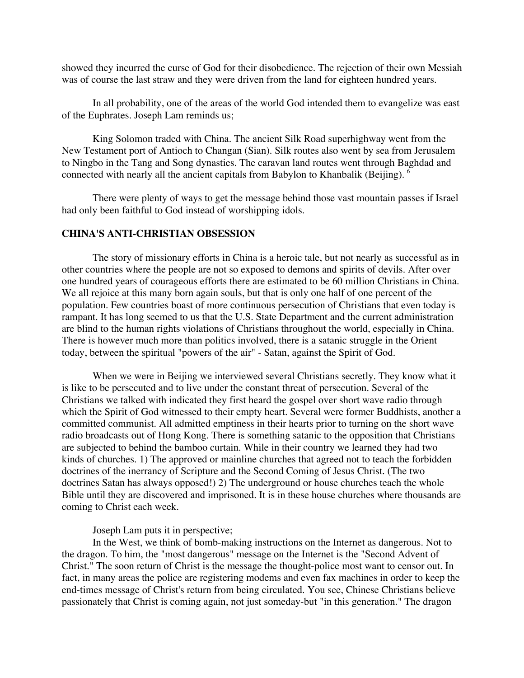showed they incurred the curse of God for their disobedience. The rejection of their own Messiah was of course the last straw and they were driven from the land for eighteen hundred years.

In all probability, one of the areas of the world God intended them to evangelize was east of the Euphrates. Joseph Lam reminds us;

King Solomon traded with China. The ancient Silk Road superhighway went from the New Testament port of Antioch to Changan (Sian). Silk routes also went by sea from Jerusalem to Ningbo in the Tang and Song dynasties. The caravan land routes went through Baghdad and connected with nearly all the ancient capitals from Babylon to Khanbalik (Beijing). <sup>6</sup>

There were plenty of ways to get the message behind those vast mountain passes if Israel had only been faithful to God instead of worshipping idols.

### **CHINA'S ANTI-CHRISTIAN OBSESSION**

The story of missionary efforts in China is a heroic tale, but not nearly as successful as in other countries where the people are not so exposed to demons and spirits of devils. After over one hundred years of courageous efforts there are estimated to be 60 million Christians in China. We all rejoice at this many born again souls, but that is only one half of one percent of the population. Few countries boast of more continuous persecution of Christians that even today is rampant. It has long seemed to us that the U.S. State Department and the current administration are blind to the human rights violations of Christians throughout the world, especially in China. There is however much more than politics involved, there is a satanic struggle in the Orient today, between the spiritual "powers of the air" - Satan, against the Spirit of God.

When we were in Beijing we interviewed several Christians secretly. They know what it is like to be persecuted and to live under the constant threat of persecution. Several of the Christians we talked with indicated they first heard the gospel over short wave radio through which the Spirit of God witnessed to their empty heart. Several were former Buddhists, another a committed communist. All admitted emptiness in their hearts prior to turning on the short wave radio broadcasts out of Hong Kong. There is something satanic to the opposition that Christians are subjected to behind the bamboo curtain. While in their country we learned they had two kinds of churches. 1) The approved or mainline churches that agreed not to teach the forbidden doctrines of the inerrancy of Scripture and the Second Coming of Jesus Christ. (The two doctrines Satan has always opposed!) 2) The underground or house churches teach the whole Bible until they are discovered and imprisoned. It is in these house churches where thousands are coming to Christ each week.

#### Joseph Lam puts it in perspective;

In the West, we think of bomb-making instructions on the Internet as dangerous. Not to the dragon. To him, the "most dangerous" message on the Internet is the "Second Advent of Christ." The soon return of Christ is the message the thought-police most want to censor out. In fact, in many areas the police are registering modems and even fax machines in order to keep the end-times message of Christ's return from being circulated. You see, Chinese Christians believe passionately that Christ is coming again, not just someday-but "in this generation." The dragon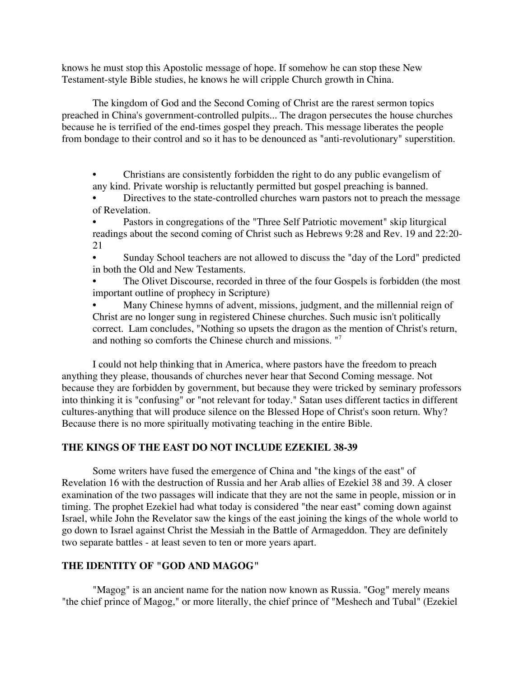knows he must stop this Apostolic message of hope. If somehow he can stop these New Testament-style Bible studies, he knows he will cripple Church growth in China.

The kingdom of God and the Second Coming of Christ are the rarest sermon topics preached in China's government-controlled pulpits... The dragon persecutes the house churches because he is terrified of the end-times gospel they preach. This message liberates the people from bondage to their control and so it has to be denounced as "anti-revolutionary" superstition.

• Christians are consistently forbidden the right to do any public evangelism of any kind. Private worship is reluctantly permitted but gospel preaching is banned.

• Directives to the state-controlled churches warn pastors not to preach the message of Revelation.

Pastors in congregations of the "Three Self Patriotic movement" skip liturgical readings about the second coming of Christ such as Hebrews 9:28 and Rev. 19 and 22:20- 21

• Sunday School teachers are not allowed to discuss the "day of the Lord" predicted in both the Old and New Testaments.

The Olivet Discourse, recorded in three of the four Gospels is forbidden (the most important outline of prophecy in Scripture)

• Many Chinese hymns of advent, missions, judgment, and the millennial reign of Christ are no longer sung in registered Chinese churches. Such music isn't politically correct. Lam concludes, "Nothing so upsets the dragon as the mention of Christ's return, and nothing so comforts the Chinese church and missions. "7

I could not help thinking that in America, where pastors have the freedom to preach anything they please, thousands of churches never hear that Second Coming message. Not because they are forbidden by government, but because they were tricked by seminary professors into thinking it is "confusing" or "not relevant for today." Satan uses different tactics in different cultures-anything that will produce silence on the Blessed Hope of Christ's soon return. Why? Because there is no more spiritually motivating teaching in the entire Bible.

# **THE KINGS OF THE EAST DO NOT INCLUDE EZEKIEL 38-39**

Some writers have fused the emergence of China and "the kings of the east" of Revelation 16 with the destruction of Russia and her Arab allies of Ezekiel 38 and 39. A closer examination of the two passages will indicate that they are not the same in people, mission or in timing. The prophet Ezekiel had what today is considered "the near east" coming down against Israel, while John the Revelator saw the kings of the east joining the kings of the whole world to go down to Israel against Christ the Messiah in the Battle of Armageddon. They are definitely two separate battles - at least seven to ten or more years apart.

# **THE IDENTITY OF "GOD AND MAGOG"**

"Magog" is an ancient name for the nation now known as Russia. "Gog" merely means "the chief prince of Magog," or more literally, the chief prince of "Meshech and Tubal" (Ezekiel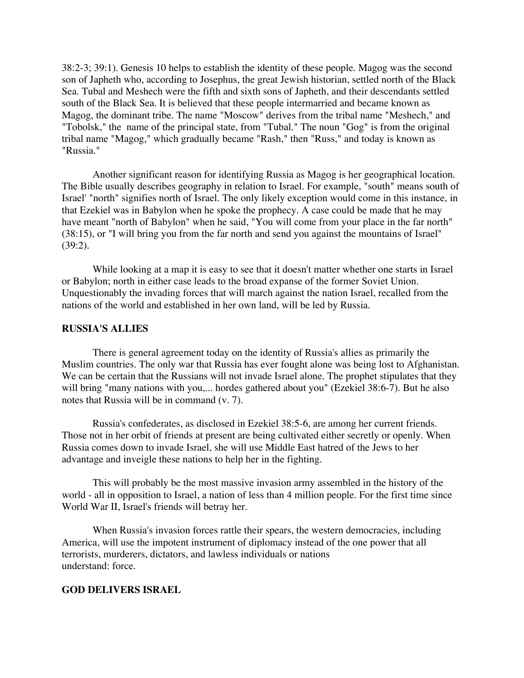38:2-3; 39:1). Genesis 10 helps to establish the identity of these people. Magog was the second son of Japheth who, according to Josephus, the great Jewish historian, settled north of the Black Sea. Tubal and Meshech were the fifth and sixth sons of Japheth, and their descendants settled south of the Black Sea. It is believed that these people intermarried and became known as Magog, the dominant tribe. The name "Moscow" derives from the tribal name "Meshech," and "Tobolsk," the name of the principal state, from "Tubal." The noun "Gog" is from the original tribal name "Magog," which gradually became "Rash," then "Russ," and today is known as "Russia."

Another significant reason for identifying Russia as Magog is her geographical location. The Bible usually describes geography in relation to Israel. For example, "south" means south of Israel' "north" signifies north of Israel. The only likely exception would come in this instance, in that Ezekiel was in Babylon when he spoke the prophecy. A case could be made that he may have meant "north of Babylon" when he said, "You will come from your place in the far north" (38:15), or "I will bring you from the far north and send you against the mountains of Israel" (39:2).

While looking at a map it is easy to see that it doesn't matter whether one starts in Israel or Babylon; north in either case leads to the broad expanse of the former Soviet Union. Unquestionably the invading forces that will march against the nation Israel, recalled from the nations of the world and established in her own land, will be led by Russia.

### **RUSSIA'S ALLIES**

There is general agreement today on the identity of Russia's allies as primarily the Muslim countries. The only war that Russia has ever fought alone was being lost to Afghanistan. We can be certain that the Russians will not invade Israel alone. The prophet stipulates that they will bring "many nations with you,... hordes gathered about you" (Ezekiel 38:6-7). But he also notes that Russia will be in command (v. 7).

Russia's confederates, as disclosed in Ezekiel 38:5-6, are among her current friends. Those not in her orbit of friends at present are being cultivated either secretly or openly. When Russia comes down to invade Israel, she will use Middle East hatred of the Jews to her advantage and inveigle these nations to help her in the fighting.

This will probably be the most massive invasion army assembled in the history of the world - all in opposition to Israel, a nation of less than 4 million people. For the first time since World War II, Israel's friends will betray her.

When Russia's invasion forces rattle their spears, the western democracies, including America, will use the impotent instrument of diplomacy instead of the one power that all terrorists, murderers, dictators, and lawless individuals or nations understand: force.

### **GOD DELIVERS ISRAEL**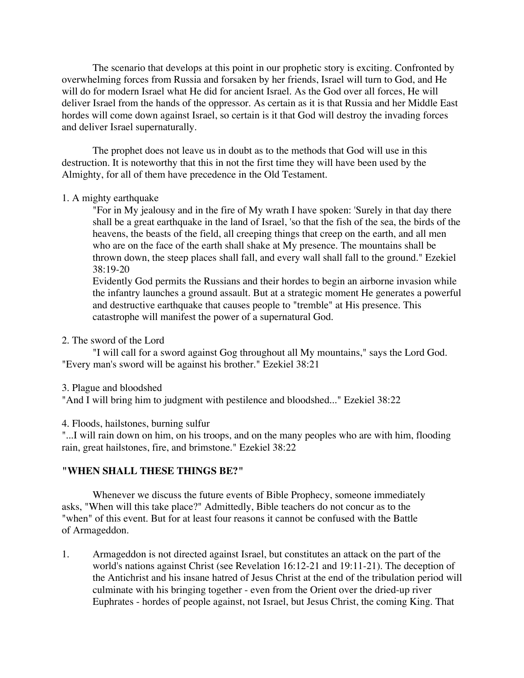The scenario that develops at this point in our prophetic story is exciting. Confronted by overwhelming forces from Russia and forsaken by her friends, Israel will turn to God, and He will do for modern Israel what He did for ancient Israel. As the God over all forces. He will deliver Israel from the hands of the oppressor. As certain as it is that Russia and her Middle East hordes will come down against Israel, so certain is it that God will destroy the invading forces and deliver Israel supernaturally.

The prophet does not leave us in doubt as to the methods that God will use in this destruction. It is noteworthy that this in not the first time they will have been used by the Almighty, for all of them have precedence in the Old Testament.

### 1. A mighty earthquake

"For in My jealousy and in the fire of My wrath I have spoken: 'Surely in that day there shall be a great earthquake in the land of Israel, 'so that the fish of the sea, the birds of the heavens, the beasts of the field, all creeping things that creep on the earth, and all men who are on the face of the earth shall shake at My presence. The mountains shall be thrown down, the steep places shall fall, and every wall shall fall to the ground." Ezekiel 38:19-20

Evidently God permits the Russians and their hordes to begin an airborne invasion while the infantry launches a ground assault. But at a strategic moment He generates a powerful and destructive earthquake that causes people to "tremble" at His presence. This catastrophe will manifest the power of a supernatural God.

## 2. The sword of the Lord

"I will call for a sword against Gog throughout all My mountains," says the Lord God. "Every man's sword will be against his brother." Ezekiel 38:21

3. Plague and bloodshed

"And I will bring him to judgment with pestilence and bloodshed..." Ezekiel 38:22

### 4. Floods, hailstones, burning sulfur

"...I will rain down on him, on his troops, and on the many peoples who are with him, flooding rain, great hailstones, fire, and brimstone." Ezekiel 38:22

## **"WHEN SHALL THESE THINGS BE?"**

Whenever we discuss the future events of Bible Prophecy, someone immediately asks, "When will this take place?" Admittedly, Bible teachers do not concur as to the "when" of this event. But for at least four reasons it cannot be confused with the Battle of Armageddon.

1. Armageddon is not directed against Israel, but constitutes an attack on the part of the world's nations against Christ (see Revelation 16:12-21 and 19:11-21). The deception of the Antichrist and his insane hatred of Jesus Christ at the end of the tribulation period will culminate with his bringing together - even from the Orient over the dried-up river Euphrates - hordes of people against, not Israel, but Jesus Christ, the coming King. That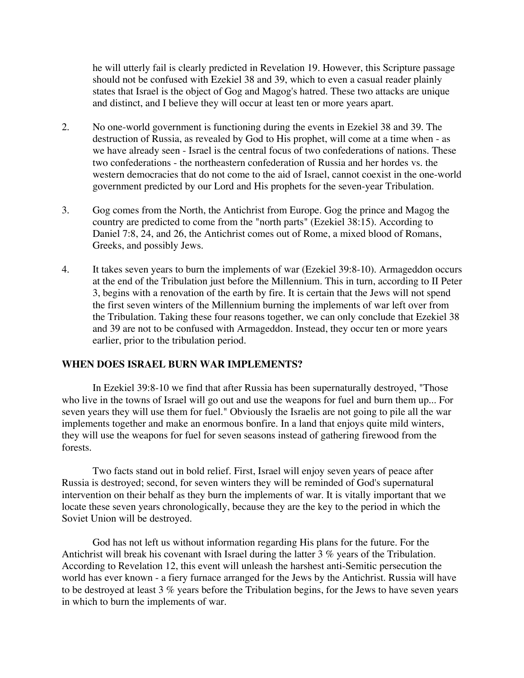he will utterly fail is clearly predicted in Revelation 19. However, this Scripture passage should not be confused with Ezekiel 38 and 39, which to even a casual reader plainly states that Israel is the object of Gog and Magog's hatred. These two attacks are unique and distinct, and I believe they will occur at least ten or more years apart.

- 2. No one-world government is functioning during the events in Ezekiel 38 and 39. The destruction of Russia, as revealed by God to His prophet, will come at a time when - as we have already seen - Israel is the central focus of two confederations of nations. These two confederations - the northeastern confederation of Russia and her hordes vs. the western democracies that do not come to the aid of Israel, cannot coexist in the one-world government predicted by our Lord and His prophets for the seven-year Tribulation.
- 3. Gog comes from the North, the Antichrist from Europe. Gog the prince and Magog the country are predicted to come from the "north parts" (Ezekiel 38:15). According to Daniel 7:8, 24, and 26, the Antichrist comes out of Rome, a mixed blood of Romans, Greeks, and possibly Jews.
- 4. It takes seven years to burn the implements of war (Ezekiel 39:8-10). Armageddon occurs at the end of the Tribulation just before the Millennium. This in turn, according to II Peter 3, begins with a renovation of the earth by fire. It is certain that the Jews will not spend the first seven winters of the Millennium burning the implements of war left over from the Tribulation. Taking these four reasons together, we can only conclude that Ezekiel 38 and 39 are not to be confused with Armageddon. Instead, they occur ten or more years earlier, prior to the tribulation period.

## **WHEN DOES ISRAEL BURN WAR IMPLEMENTS?**

In Ezekiel 39:8-10 we find that after Russia has been supernaturally destroyed, "Those who live in the towns of Israel will go out and use the weapons for fuel and burn them up... For seven years they will use them for fuel." Obviously the Israelis are not going to pile all the war implements together and make an enormous bonfire. In a land that enjoys quite mild winters, they will use the weapons for fuel for seven seasons instead of gathering firewood from the forests.

Two facts stand out in bold relief. First, Israel will enjoy seven years of peace after Russia is destroyed; second, for seven winters they will be reminded of God's supernatural intervention on their behalf as they burn the implements of war. It is vitally important that we locate these seven years chronologically, because they are the key to the period in which the Soviet Union will be destroyed.

God has not left us without information regarding His plans for the future. For the Antichrist will break his covenant with Israel during the latter 3 % years of the Tribulation. According to Revelation 12, this event will unleash the harshest anti-Semitic persecution the world has ever known - a fiery furnace arranged for the Jews by the Antichrist. Russia will have to be destroyed at least 3 % years before the Tribulation begins, for the Jews to have seven years in which to burn the implements of war.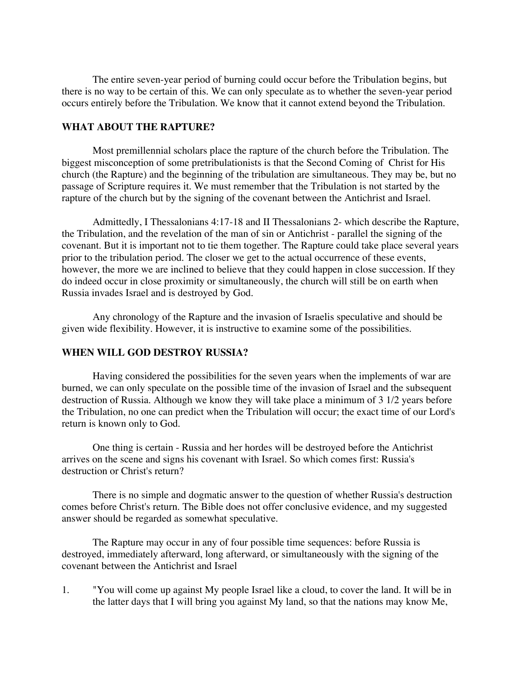The entire seven-year period of burning could occur before the Tribulation begins, but there is no way to be certain of this. We can only speculate as to whether the seven-year period occurs entirely before the Tribulation. We know that it cannot extend beyond the Tribulation.

## **WHAT ABOUT THE RAPTURE?**

Most premillennial scholars place the rapture of the church before the Tribulation. The biggest misconception of some pretribulationists is that the Second Coming of Christ for His church (the Rapture) and the beginning of the tribulation are simultaneous. They may be, but no passage of Scripture requires it. We must remember that the Tribulation is not started by the rapture of the church but by the signing of the covenant between the Antichrist and Israel.

Admittedly, I Thessalonians 4:17-18 and II Thessalonians 2- which describe the Rapture, the Tribulation, and the revelation of the man of sin or Antichrist - parallel the signing of the covenant. But it is important not to tie them together. The Rapture could take place several years prior to the tribulation period. The closer we get to the actual occurrence of these events, however, the more we are inclined to believe that they could happen in close succession. If they do indeed occur in close proximity or simultaneously, the church will still be on earth when Russia invades Israel and is destroyed by God.

Any chronology of the Rapture and the invasion of Israelis speculative and should be given wide flexibility. However, it is instructive to examine some of the possibilities.

### **WHEN WILL GOD DESTROY RUSSIA?**

Having considered the possibilities for the seven years when the implements of war are burned, we can only speculate on the possible time of the invasion of Israel and the subsequent destruction of Russia. Although we know they will take place a minimum of 3 1/2 years before the Tribulation, no one can predict when the Tribulation will occur; the exact time of our Lord's return is known only to God.

One thing is certain - Russia and her hordes will be destroyed before the Antichrist arrives on the scene and signs his covenant with Israel. So which comes first: Russia's destruction or Christ's return?

There is no simple and dogmatic answer to the question of whether Russia's destruction comes before Christ's return. The Bible does not offer conclusive evidence, and my suggested answer should be regarded as somewhat speculative.

The Rapture may occur in any of four possible time sequences: before Russia is destroyed, immediately afterward, long afterward, or simultaneously with the signing of the covenant between the Antichrist and Israel

1. "You will come up against My people Israel like a cloud, to cover the land. It will be in the latter days that I will bring you against My land, so that the nations may know Me,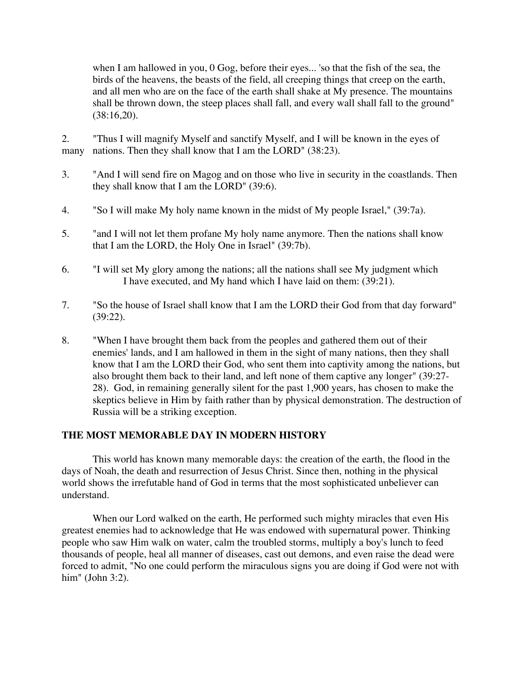when I am hallowed in you, 0 Gog, before their eyes... 'so that the fish of the sea, the birds of the heavens, the beasts of the field, all creeping things that creep on the earth, and all men who are on the face of the earth shall shake at My presence. The mountains shall be thrown down, the steep places shall fall, and every wall shall fall to the ground" (38:16,20).

2. "Thus I will magnify Myself and sanctify Myself, and I will be known in the eyes of many nations. Then they shall know that I am the LORD" (38:23).

- 3. "And I will send fire on Magog and on those who live in security in the coastlands. Then they shall know that I am the LORD" (39:6).
- 4. "So I will make My holy name known in the midst of My people Israel," (39:7a).
- 5. "and I will not let them profane My holy name anymore. Then the nations shall know that I am the LORD, the Holy One in Israel" (39:7b).
- 6. "I will set My glory among the nations; all the nations shall see My judgment which I have executed, and My hand which I have laid on them: (39:21).
- 7. "So the house of Israel shall know that I am the LORD their God from that day forward" (39:22).
- 8. "When I have brought them back from the peoples and gathered them out of their enemies' lands, and I am hallowed in them in the sight of many nations, then they shall know that I am the LORD their God, who sent them into captivity among the nations, but also brought them back to their land, and left none of them captive any longer" (39:27- 28). God, in remaining generally silent for the past 1,900 years, has chosen to make the skeptics believe in Him by faith rather than by physical demonstration. The destruction of Russia will be a striking exception.

# **THE MOST MEMORABLE DAY IN MODERN HISTORY**

This world has known many memorable days: the creation of the earth, the flood in the days of Noah, the death and resurrection of Jesus Christ. Since then, nothing in the physical world shows the irrefutable hand of God in terms that the most sophisticated unbeliever can understand.

When our Lord walked on the earth, He performed such mighty miracles that even His greatest enemies had to acknowledge that He was endowed with supernatural power. Thinking people who saw Him walk on water, calm the troubled storms, multiply a boy's lunch to feed thousands of people, heal all manner of diseases, cast out demons, and even raise the dead were forced to admit, "No one could perform the miraculous signs you are doing if God were not with him" (John 3:2).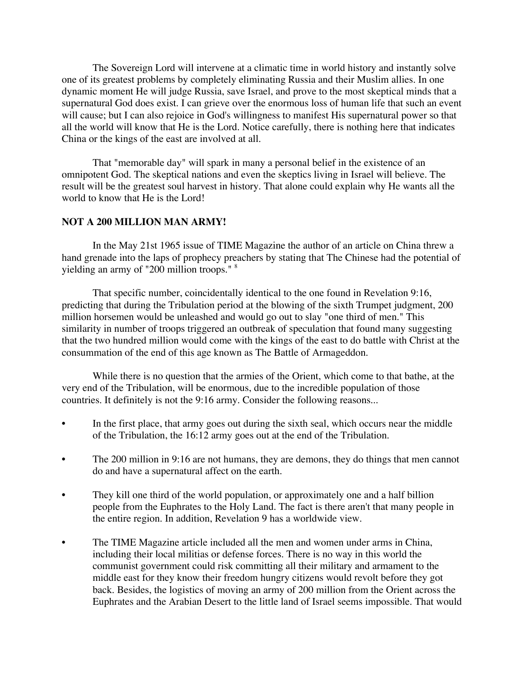The Sovereign Lord will intervene at a climatic time in world history and instantly solve one of its greatest problems by completely eliminating Russia and their Muslim allies. In one dynamic moment He will judge Russia, save Israel, and prove to the most skeptical minds that a supernatural God does exist. I can grieve over the enormous loss of human life that such an event will cause; but I can also rejoice in God's willingness to manifest His supernatural power so that all the world will know that He is the Lord. Notice carefully, there is nothing here that indicates China or the kings of the east are involved at all.

That "memorable day" will spark in many a personal belief in the existence of an omnipotent God. The skeptical nations and even the skeptics living in Israel will believe. The result will be the greatest soul harvest in history. That alone could explain why He wants all the world to know that He is the Lord!

## **NOT A 200 MILLION MAN ARMY!**

In the May 21st 1965 issue of TIME Magazine the author of an article on China threw a hand grenade into the laps of prophecy preachers by stating that The Chinese had the potential of yielding an army of "200 million troops." <sup>8</sup>

That specific number, coincidentally identical to the one found in Revelation 9:16, predicting that during the Tribulation period at the blowing of the sixth Trumpet judgment, 200 million horsemen would be unleashed and would go out to slay "one third of men." This similarity in number of troops triggered an outbreak of speculation that found many suggesting that the two hundred million would come with the kings of the east to do battle with Christ at the consummation of the end of this age known as The Battle of Armageddon.

While there is no question that the armies of the Orient, which come to that bathe, at the very end of the Tribulation, will be enormous, due to the incredible population of those countries. It definitely is not the 9:16 army. Consider the following reasons...

- In the first place, that army goes out during the sixth seal, which occurs near the middle of the Tribulation, the 16:12 army goes out at the end of the Tribulation.
- The 200 million in 9:16 are not humans, they are demons, they do things that men cannot do and have a supernatural affect on the earth.
- They kill one third of the world population, or approximately one and a half billion people from the Euphrates to the Holy Land. The fact is there aren't that many people in the entire region. In addition, Revelation 9 has a worldwide view.
- The TIME Magazine article included all the men and women under arms in China, including their local militias or defense forces. There is no way in this world the communist government could risk committing all their military and armament to the middle east for they know their freedom hungry citizens would revolt before they got back. Besides, the logistics of moving an army of 200 million from the Orient across the Euphrates and the Arabian Desert to the little land of Israel seems impossible. That would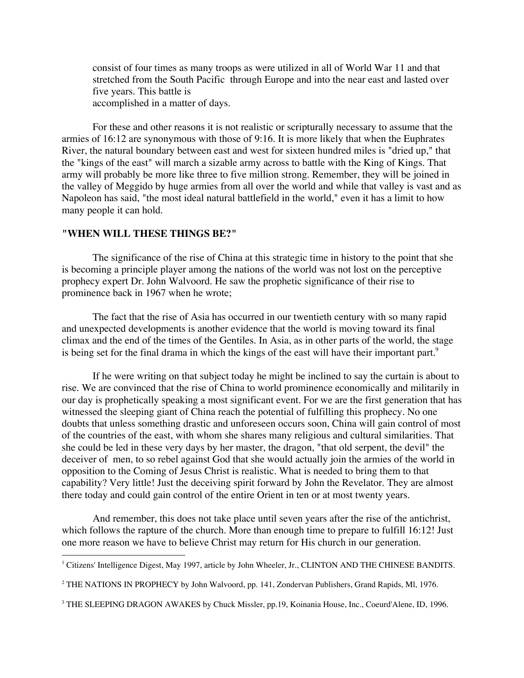consist of four times as many troops as were utilized in all of World War 11 and that stretched from the South Pacific through Europe and into the near east and lasted over five years. This battle is accomplished in a matter of days.

For these and other reasons it is not realistic or scripturally necessary to assume that the armies of 16:12 are synonymous with those of 9:16. It is more likely that when the Euphrates River, the natural boundary between east and west for sixteen hundred miles is "dried up," that the "kings of the east" will march a sizable army across to battle with the King of Kings. That army will probably be more like three to five million strong. Remember, they will be joined in the valley of Meggido by huge armies from all over the world and while that valley is vast and as Napoleon has said, "the most ideal natural battlefield in the world," even it has a limit to how many people it can hold.

#### **"WHEN WILL THESE THINGS BE?"**

The significance of the rise of China at this strategic time in history to the point that she is becoming a principle player among the nations of the world was not lost on the perceptive prophecy expert Dr. John Walvoord. He saw the prophetic significance of their rise to prominence back in 1967 when he wrote;

The fact that the rise of Asia has occurred in our twentieth century with so many rapid and unexpected developments is another evidence that the world is moving toward its final climax and the end of the times of the Gentiles. In Asia, as in other parts of the world, the stage is being set for the final drama in which the kings of the east will have their important part.<sup>9</sup>

If he were writing on that subject today he might be inclined to say the curtain is about to rise. We are convinced that the rise of China to world prominence economically and militarily in our day is prophetically speaking a most significant event. For we are the first generation that has witnessed the sleeping giant of China reach the potential of fulfilling this prophecy. No one doubts that unless something drastic and unforeseen occurs soon, China will gain control of most of the countries of the east, with whom she shares many religious and cultural similarities. That she could be led in these very days by her master, the dragon, "that old serpent, the devil" the deceiver of men, to so rebel against God that she would actually join the armies of the world in opposition to the Coming of Jesus Christ is realistic. What is needed to bring them to that capability? Very little! Just the deceiving spirit forward by John the Revelator. They are almost there today and could gain control of the entire Orient in ten or at most twenty years.

And remember, this does not take place until seven years after the rise of the antichrist, which follows the rapture of the church. More than enough time to prepare to fulfill 16:12! Just one more reason we have to believe Christ may return for His church in our generation.

 $\frac{1}{1}$ <sup>1</sup> Citizens' Intelligence Digest, May 1997, article by John Wheeler, Jr., CLINTON AND THE CHINESE BANDITS.

<sup>&</sup>lt;sup>2</sup> THE NATIONS IN PROPHECY by John Walvoord, pp. 141, Zondervan Publishers, Grand Rapids, Ml, 1976.

<sup>&</sup>lt;sup>3</sup> THE SLEEPING DRAGON AWAKES by Chuck Missler, pp.19, Koinania House, Inc., Coeurd'Alene, ID, 1996.